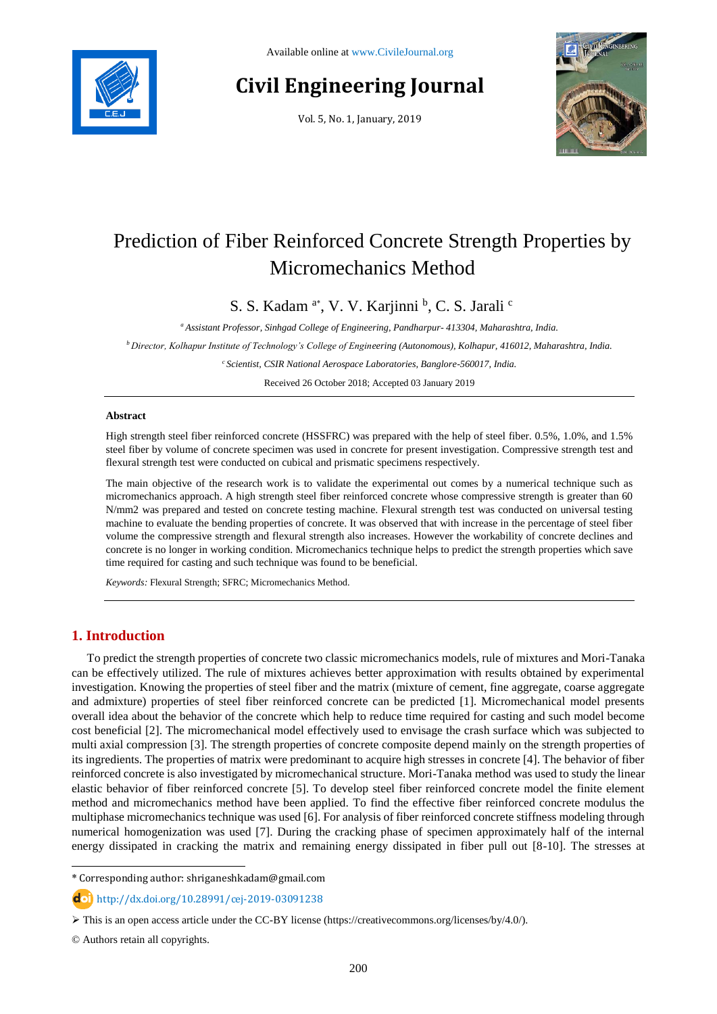

# **Civil Engineering Journal**

Vol. 5, No. 1, January, 2019



# Prediction of Fiber Reinforced Concrete Strength Properties by Micromechanics Method

S. S. Kadam <sup>a\*</sup>, V. V. Karjinni <sup>b</sup>, C. S. Jarali <sup>c</sup>

*<sup>a</sup> Assistant Professor, Sinhgad College of Engineering, Pandharpur- 413304, Maharashtra, India.*

*<sup>b</sup>Director, Kolhapur Institute of Technology's College of Engineering (Autonomous), Kolhapur, 416012, Maharashtra, India.*

*<sup>c</sup>Scientist, CSIR National Aerospace Laboratories, Banglore-560017, India.*

Received 26 October 2018; Accepted 03 January 2019

#### **Abstract**

High strength steel fiber reinforced concrete (HSSFRC) was prepared with the help of steel fiber. 0.5%, 1.0%, and 1.5% steel fiber by volume of concrete specimen was used in concrete for present investigation. Compressive strength test and flexural strength test were conducted on cubical and prismatic specimens respectively.

The main objective of the research work is to validate the experimental out comes by a numerical technique such as micromechanics approach. A high strength steel fiber reinforced concrete whose compressive strength is greater than 60 N/mm2 was prepared and tested on concrete testing machine. Flexural strength test was conducted on universal testing machine to evaluate the bending properties of concrete. It was observed that with increase in the percentage of steel fiber volume the compressive strength and flexural strength also increases. However the workability of concrete declines and concrete is no longer in working condition. Micromechanics technique helps to predict the strength properties which save time required for casting and such technique was found to be beneficial.

*Keywords:* Flexural Strength; SFRC; Micromechanics Method.

# **1. Introduction**

To predict the strength properties of concrete two classic micromechanics models, rule of mixtures and Mori-Tanaka can be effectively utilized. The rule of mixtures achieves better approximation with results obtained by experimental investigation. Knowing the properties of steel fiber and the matrix (mixture of cement, fine aggregate, coarse aggregate and admixture) properties of steel fiber reinforced concrete can be predicted [1]. Micromechanical model presents overall idea about the behavior of the concrete which help to reduce time required for casting and such model become cost beneficial [2]. The micromechanical model effectively used to envisage the crash surface which was subjected to multi axial compression [3]. The strength properties of concrete composite depend mainly on the strength properties of its ingredients. The properties of matrix were predominant to acquire high stresses in concrete [4]. The behavior of fiber reinforced concrete is also investigated by micromechanical structure. Mori-Tanaka method was used to study the linear elastic behavior of fiber reinforced concrete [5]. To develop steel fiber reinforced concrete model the finite element method and micromechanics method have been applied. To find the effective fiber reinforced concrete modulus the multiphase micromechanics technique was used [6]. For analysis of fiber reinforced concrete stiffness modeling through numerical homogenization was used [7]. During the cracking phase of specimen approximately half of the internal energy dissipated in cracking the matrix and remaining energy dissipated in fiber pull out [8-10]. The stresses at

l

<sup>\*</sup> Corresponding author: shriganeshkadam@gmail.com

http://dx.doi.org/10.28991/cej-2019-03091238

This is an open access article under the CC-BY license [\(https://creativecommons.org/licenses/by/4.0/\)](https://creativecommons.org/licenses/by/4.0/).

<sup>©</sup> Authors retain all copyrights.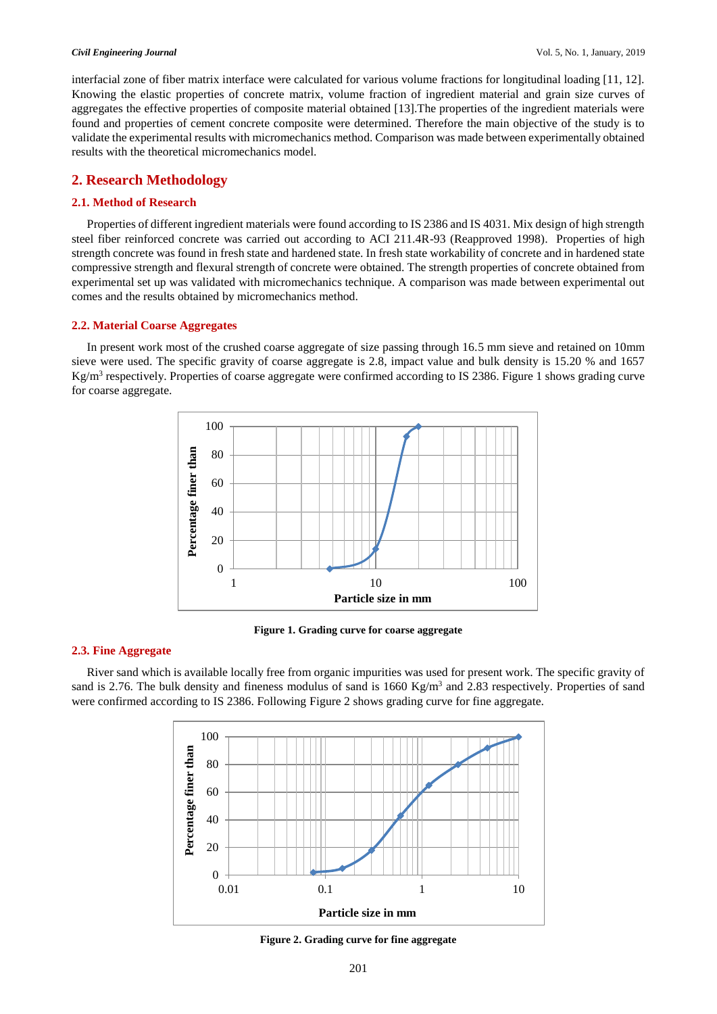#### *Civil Engineering Journal* Vol. 5, No. 1, January, 2019

interfacial zone of fiber matrix interface were calculated for various volume fractions for longitudinal loading [11, 12]. Knowing the elastic properties of concrete matrix, volume fraction of ingredient material and grain size curves of aggregates the effective properties of composite material obtained [13].The properties of the ingredient materials were found and properties of cement concrete composite were determined. Therefore the main objective of the study is to validate the experimental results with micromechanics method. Comparison was made between experimentally obtained results with the theoretical micromechanics model.

# **2. Research Methodology**

### **2.1. Method of Research**

Properties of different ingredient materials were found according to IS 2386 and IS 4031. Mix design of high strength steel fiber reinforced concrete was carried out according to ACI 211.4R-93 (Reapproved 1998). Properties of high strength concrete was found in fresh state and hardened state. In fresh state workability of concrete and in hardened state compressive strength and flexural strength of concrete were obtained. The strength properties of concrete obtained from experimental set up was validated with micromechanics technique. A comparison was made between experimental out comes and the results obtained by micromechanics method.

#### **2.2. Material Coarse Aggregates**

In present work most of the crushed coarse aggregate of size passing through 16.5 mm sieve and retained on 10mm sieve were used. The specific gravity of coarse aggregate is 2.8, impact value and bulk density is 15.20 % and 1657 Kg/m<sup>3</sup> respectively. Properties of coarse aggregate were confirmed according to IS 2386. Figure 1 shows grading curve for coarse aggregate.



**Figure 1. Grading curve for coarse aggregate**

#### **2.3. Fine Aggregate**

River sand which is available locally free from organic impurities was used for present work. The specific gravity of sand is 2.76. The bulk density and fineness modulus of sand is 1660 Kg/m<sup>3</sup> and 2.83 respectively. Properties of sand were confirmed according to IS 2386. Following Figure 2 shows grading curve for fine aggregate.



**Figure 2. Grading curve for fine aggregate**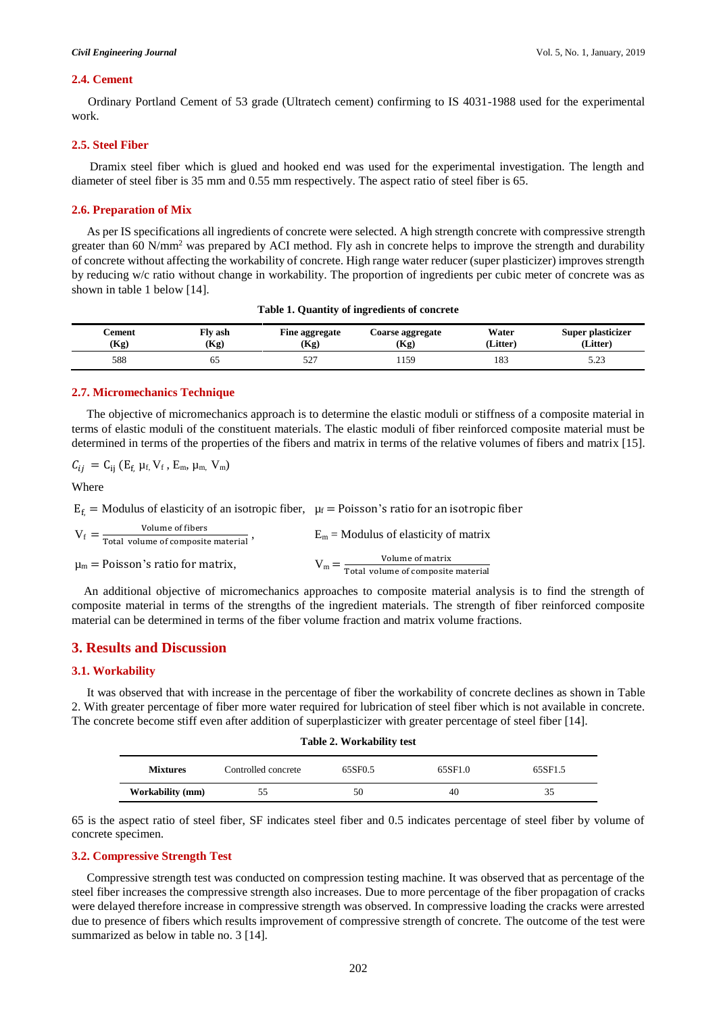#### *Civil Engineering Journal* Vol. 5, No. 1, January, 2019

#### **2.4. Cement**

Ordinary Portland Cement of 53 grade (Ultratech cement) confirming to IS 4031-1988 used for the experimental work.

#### **2.5. Steel Fiber**

Dramix steel fiber which is glued and hooked end was used for the experimental investigation. The length and diameter of steel fiber is 35 mm and 0.55 mm respectively. The aspect ratio of steel fiber is 65.

#### **2.6. Preparation of Mix**

As per IS specifications all ingredients of concrete were selected. A high strength concrete with compressive strength greater than 60 N/mm<sup>2</sup> was prepared by ACI method. Fly ash in concrete helps to improve the strength and durability of concrete without affecting the workability of concrete. High range water reducer (super plasticizer) improves strength by reducing w/c ratio without change in workability. The proportion of ingredients per cubic meter of concrete was as shown in table 1 below [14].

| ∠ement<br>(Kg) | Fly ash<br>(Kg) | Fine aggregate<br>(Kg) | <b>Coarse aggregate</b><br>(Kg) | Water<br>(Litter) | Super plasticizer<br>(Litter) |
|----------------|-----------------|------------------------|---------------------------------|-------------------|-------------------------------|
| 588            | DС              | $52^{-}$               | 159                             | 183               | ر _ _ _                       |

#### **Table 1. Quantity of ingredients of concrete**

#### **2.7. Micromechanics Technique**

The objective of micromechanics approach is to determine the elastic moduli or stiffness of a composite material in terms of elastic moduli of the constituent materials. The elastic moduli of fiber reinforced composite material must be determined in terms of the properties of the fibers and matrix in terms of the relative volumes of fibers and matrix [15].

 $C_{ij} = C_{ij} (E_f \mu_f, V_f, E_m, \mu_m, V_m)$ 

Where

 $E_f$  = Modulus of elasticity of an isotropic fiber,  $\mu_f$  = Poisson's ratio for an isotropic fiber

| Volume of fibers<br>$V_f =$<br>Total volume of composite material' | $E_m$ = Modulus of elasticity of matrix       |
|--------------------------------------------------------------------|-----------------------------------------------|
| $\mu_m$ = Poisson's ratio for matrix,                              | Volume of matrix                              |
|                                                                    | $V_m =$<br>Total volume of composite material |

 An additional objective of micromechanics approaches to composite material analysis is to find the strength of composite material in terms of the strengths of the ingredient materials. The strength of fiber reinforced composite material can be determined in terms of the fiber volume fraction and matrix volume fractions.

### **3. Results and Discussion**

#### **3.1. Workability**

 It was observed that with increase in the percentage of fiber the workability of concrete declines as shown in Table 2. With greater percentage of fiber more water required for lubrication of steel fiber which is not available in concrete. The concrete become stiff even after addition of superplasticizer with greater percentage of steel fiber [14].

| Table 2. Workability test |                     |         |         |         |  |
|---------------------------|---------------------|---------|---------|---------|--|
| <b>Mixtures</b>           | Controlled concrete | 65SF0.5 | 65SF1.0 | 65SF1.5 |  |
| <b>Workability (mm)</b>   | 55                  | 50      | 40      | 35      |  |

65 is the aspect ratio of steel fiber, SF indicates steel fiber and 0.5 indicates percentage of steel fiber by volume of concrete specimen.

#### **3.2. Compressive Strength Test**

 Compressive strength test was conducted on compression testing machine. It was observed that as percentage of the steel fiber increases the compressive strength also increases. Due to more percentage of the fiber propagation of cracks were delayed therefore increase in compressive strength was observed. In compressive loading the cracks were arrested due to presence of fibers which results improvement of compressive strength of concrete. The outcome of the test were summarized as below in table no. 3 [14].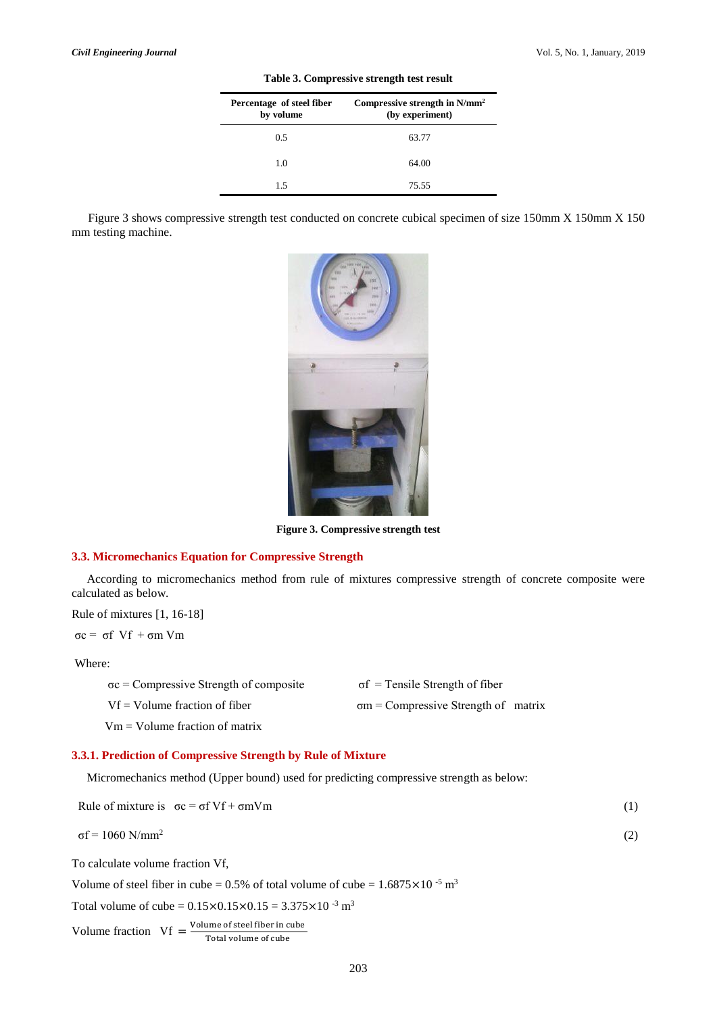(2)

| Percentage of steel fiber<br>by volume | Compressive strength in $N/mm^2$<br>(by experiment) |
|----------------------------------------|-----------------------------------------------------|
| 0.5                                    | 63.77                                               |
| 1.0                                    | 64.00                                               |
| 15                                     | 75.55                                               |

**Table 3. Compressive strength test result**

Figure 3 shows compressive strength test conducted on concrete cubical specimen of size 150mm X 150mm X 150 mm testing machine.



**Figure 3. Compressive strength test**

#### **3.3. Micromechanics Equation for Compressive Strength**

 According to micromechanics method from rule of mixtures compressive strength of concrete composite were calculated as below.

Rule of mixtures [1, 16-18]

σc = σf Vf + σm Vm

Where:

| $\sigma c$ = Compressive Strength of composite | $\sigma f$ = Tensile Strength of fiber      |
|------------------------------------------------|---------------------------------------------|
| $Vf = Volume fraction of fiber$                | $\sigma m$ = Compressive Strength of matrix |

Vm = Volume fraction of matrix

### **3.3.1. Prediction of Compressive Strength by Rule of Mixture**

Micromechanics method (Upper bound) used for predicting compressive strength as below:

| Rule of mixture is $\sigma c = \sigma f V f + \sigma m V m$ |  |
|-------------------------------------------------------------|--|
|                                                             |  |

To calculate volume fraction Vf,

Volume of steel fiber in cube =  $0.5\%$  of total volume of cube =  $1.6875 \times 10^{-5}$  m<sup>3</sup>

Total volume of cube =  $0.15 \times 0.15 \times 0.15 = 3.375 \times 10^{-3}$  m<sup>3</sup>

Volume fraction  $Vf = \frac{Volume\ of\ steel\ fiber\ in\ cube}{Total\ of\ a\ bar\ of\ a\ bar\ of\ a\ bar\ of\ a\ bar\ of\ a\ bar\ of\ a\ bar\ of\ a\ bar\ of\ a\ bar\ of\ a\ bar\ of\ a\ bar\ of\ a\ bar\ of\ a\ bar\ of\ a\ bar\ of\ a\ bar\ of\ a\ bar\ of\ a\ bar\ of\ a\ bar\ of\ a\ bar\ of\ a\ bar\ of\ a\ bar\ of\ a\ bar\ of\ a\ bar\ of\ a\ bar\ of\ a\ bar\ of\ a\ bar\ of\ a\ bar\ of\ a\ bar\ of\ a\ bar\ of\ a\ bar\ of\ a\ bar\ of\ a\$ 

Total volume of cube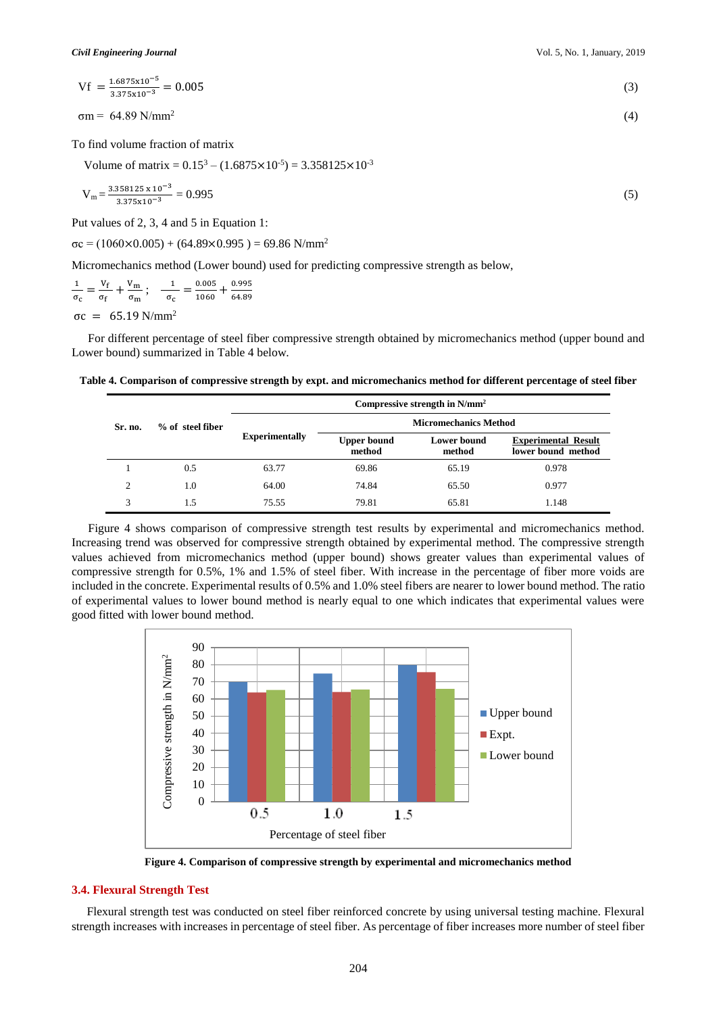$Vf = \frac{1.6875 \times 10^{-5}}{3.375 \times 10^{-3}} = 0.005$  (3)  $C_4$ .80 NJ $\sim$ (4)

$$
\sigma m = 64.89 \text{ N/mm}^2
$$

To find volume fraction of matrix

Volume of matrix =  $0.15^3 - (1.6875 \times 10^{-5}) = 3.358125 \times 10^{-3}$ 

$$
V_m = \frac{3.358125 \times 10^{-3}}{3.375 \times 10^{-3}} = 0.995
$$
 (5)

Put values of 2, 3, 4 and 5 in Equation 1:

 $σc = (1060×0.005) + (64.89×0.995) = 69.86$  N/mm<sup>2</sup>

Micromechanics method (Lower bound) used for predicting compressive strength as below,

$$
\frac{1}{\sigma_{\rm c}} = \frac{V_{\rm f}}{\sigma_{\rm f}} + \frac{V_{\rm m}}{\sigma_{\rm m}}; \quad \frac{1}{\sigma_{\rm c}} = \frac{0.005}{1060} + \frac{0.995}{64.89}
$$

 $σc = 65.19 N/mm<sup>2</sup>$ 

For different percentage of steel fiber compressive strength obtained by micromechanics method (upper bound and Lower bound) summarized in Table 4 below.

**Table 4. Comparison of compressive strength by expt. and micromechanics method for different percentage of steel fiber** 

|                |                  | Compressive strength in $N/mm^2$ |                              |                              |                                                  |
|----------------|------------------|----------------------------------|------------------------------|------------------------------|--------------------------------------------------|
| Sr. no.        | % of steel fiber |                                  | <b>Micromechanics Method</b> |                              |                                                  |
|                |                  | <b>Experimentally</b>            | <b>Upper bound</b><br>method | <b>Lower bound</b><br>method | <b>Experimental Result</b><br>lower bound method |
|                | 0.5              | 63.77                            | 69.86                        | 65.19                        | 0.978                                            |
| $\mathfrak{D}$ | 1.0              | 64.00                            | 74.84                        | 65.50                        | 0.977                                            |
| 3              | 1.5              | 75.55                            | 79.81                        | 65.81                        | 1.148                                            |

Figure 4 shows comparison of compressive strength test results by experimental and micromechanics method. Increasing trend was observed for compressive strength obtained by experimental method. The compressive strength values achieved from micromechanics method (upper bound) shows greater values than experimental values of compressive strength for 0.5%, 1% and 1.5% of steel fiber. With increase in the percentage of fiber more voids are included in the concrete. Experimental results of 0.5% and 1.0% steel fibers are nearer to lower bound method. The ratio of experimental values to lower bound method is nearly equal to one which indicates that experimental values were good fitted with lower bound method.



**Figure 4. Comparison of compressive strength by experimental and micromechanics method**

# **3.4. Flexural Strength Test**

 Flexural strength test was conducted on steel fiber reinforced concrete by using universal testing machine. Flexural strength increases with increases in percentage of steel fiber. As percentage of fiber increases more number of steel fiber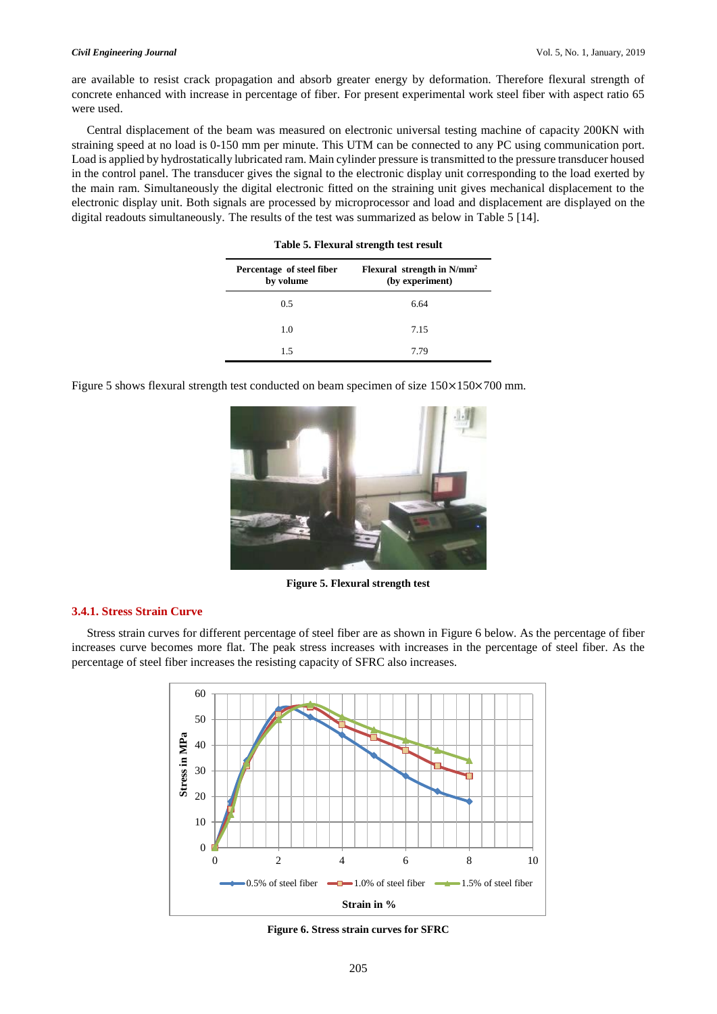are available to resist crack propagation and absorb greater energy by deformation. Therefore flexural strength of concrete enhanced with increase in percentage of fiber. For present experimental work steel fiber with aspect ratio 65 were used.

 Central displacement of the beam was measured on electronic universal testing machine of capacity 200KN with straining speed at no load is 0-150 mm per minute. This UTM can be connected to any PC using communication port. Load is applied by hydrostatically lubricated ram. Main cylinder pressure is transmitted to the pressure transducer housed in the control panel. The transducer gives the signal to the electronic display unit corresponding to the load exerted by the main ram. Simultaneously the digital electronic fitted on the straining unit gives mechanical displacement to the electronic display unit. Both signals are processed by microprocessor and load and displacement are displayed on the digital readouts simultaneously. The results of the test was summarized as below in Table 5 [14].

| Percentage of steel fiber<br>by volume | Flexural strength in $N/mm^2$<br>(by experiment) |  |  |  |
|----------------------------------------|--------------------------------------------------|--|--|--|
| 0.5                                    | 6.64                                             |  |  |  |
| 1.0                                    | 7.15                                             |  |  |  |
| 1.5                                    | 7.79                                             |  |  |  |

**Table 5. Flexural strength test result**

Figure 5 shows flexural strength test conducted on beam specimen of size 150×150×700 mm.



**Figure 5. Flexural strength test**

#### **3.4.1. Stress Strain Curve**

 Stress strain curves for different percentage of steel fiber are as shown in Figure 6 below. As the percentage of fiber increases curve becomes more flat. The peak stress increases with increases in the percentage of steel fiber. As the percentage of steel fiber increases the resisting capacity of SFRC also increases.



**Figure 6. Stress strain curves for SFRC**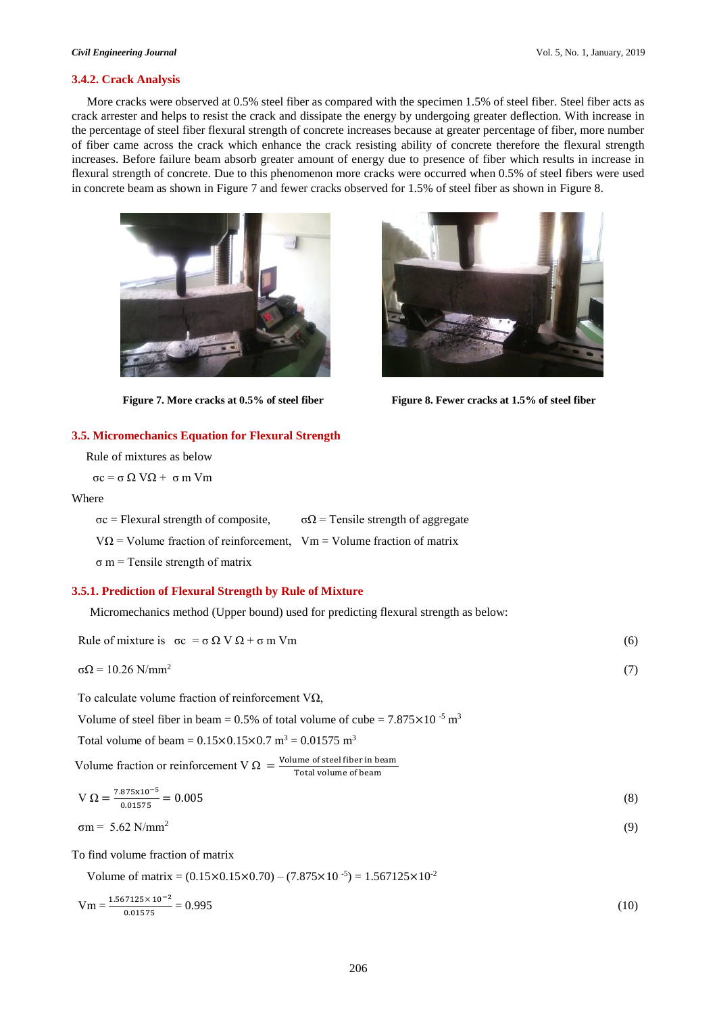(9)

#### **3.4.2. Crack Analysis**

 More cracks were observed at 0.5% steel fiber as compared with the specimen 1.5% of steel fiber. Steel fiber acts as crack arrester and helps to resist the crack and dissipate the energy by undergoing greater deflection. With increase in the percentage of steel fiber flexural strength of concrete increases because at greater percentage of fiber, more number of fiber came across the crack which enhance the crack resisting ability of concrete therefore the flexural strength increases. Before failure beam absorb greater amount of energy due to presence of fiber which results in increase in flexural strength of concrete. Due to this phenomenon more cracks were occurred when 0.5% of steel fibers were used in concrete beam as shown in Figure 7 and fewer cracks observed for 1.5% of steel fiber as shown in Figure 8.





Figure 7. More cracks at 0.5% of steel fiber Figure 8. Fewer cracks at 1.5% of steel fiber

#### **3.5. Micromechanics Equation for Flexural Strength**

Rule of mixtures as below

σc = σ Ω VΩ + σ m Vm

#### Where

σc = Flexural strength of composite,  $σΩ =$  Tensile strength of aggregate  $V\Omega$  = Volume fraction of reinforcement, Vm = Volume fraction of matrix  $\sigma$  m = Tensile strength of matrix

#### **3.5.1. Prediction of Flexural Strength by Rule of Mixture**

Micromechanics method (Upper bound) used for predicting flexural strength as below:

| Rule of mixture is $\sigma c = \sigma \Omega V \Omega + \sigma m Vm$ | (6) |
|----------------------------------------------------------------------|-----|
| $\sigma\Omega$ = 10.26 N/mm <sup>2</sup>                             | (7) |

To calculate volume fraction of reinforcement VΩ,

Volume of steel fiber in beam =  $0.5\%$  of total volume of cube =  $7.875 \times 10^{-5}$  m<sup>3</sup>

Total volume of beam =  $0.15 \times 0.15 \times 0.7$  m<sup>3</sup> =  $0.01575$  m<sup>3</sup>

Volume fraction or reinforcement V  $\Omega = \frac{\text{Volume of steel fiber in beam}}{\text{Total volume of beam}}$ Total volume of beam

$$
V \Omega = \frac{7.875 \times 10^{-5}}{0.01575} = 0.005
$$
\n(8)

$$
\sigma m = 5.62 \text{ N/mm}^2
$$

To find volume fraction of matrix

Volume of matrix =  $(0.15 \times 0.15 \times 0.70) - (7.875 \times 10^{-5}) = 1.567125 \times 10^{-2}$ 

$$
Vm = \frac{1.567125 \times 10^{-2}}{0.01575} = 0.995
$$
 (10)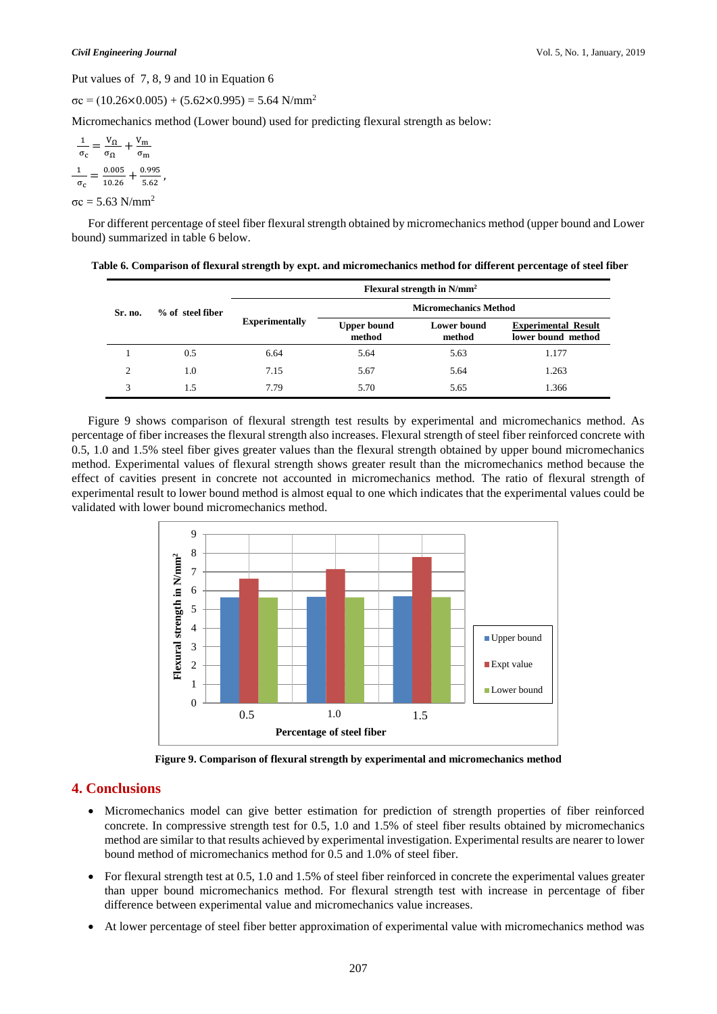Put values of 7, 8, 9 and 10 in Equation 6

,

 $σc = (10.26×0.005) + (5.62×0.995) = 5.64$  N/mm<sup>2</sup>

Micromechanics method (Lower bound) used for predicting flexural strength as below:

$$
\frac{1}{\sigma_{c}} = \frac{V_{\Omega}}{\sigma_{\Omega}} + \frac{V_{\text{m}}}{\sigma_{\text{m}}}
$$

$$
\frac{1}{\sigma_{c}} = \frac{0.005}{10.26} + \frac{0.995}{5.62}
$$

 $σc = 5.63 N/mm<sup>2</sup>$ 

For different percentage of steel fiber flexural strength obtained by micromechanics method (upper bound and Lower bound) summarized in table 6 below.

|                         |                    | Flexural strength in $N/mm^2$ |                              |                       |                                                  |
|-------------------------|--------------------|-------------------------------|------------------------------|-----------------------|--------------------------------------------------|
| Sr. no.                 | $%$ of steel fiber |                               | <b>Micromechanics Method</b> |                       |                                                  |
|                         |                    | <b>Experimentally</b>         | <b>Upper bound</b><br>method | Lower bound<br>method | <b>Experimental Result</b><br>lower bound method |
|                         | 0.5                | 6.64                          | 5.64                         | 5.63                  | 1.177                                            |
| $\mathcal{L}$           | 1.0                | 7.15                          | 5.67                         | 5.64                  | 1.263                                            |
| $\mathbf{\overline{3}}$ | 1.5                | 7.79                          | 5.70                         | 5.65                  | 1.366                                            |

**Table 6. Comparison of flexural strength by expt. and micromechanics method for different percentage of steel fiber**

Figure 9 shows comparison of flexural strength test results by experimental and micromechanics method. As percentage of fiber increases the flexural strength also increases. Flexural strength of steel fiber reinforced concrete with 0.5, 1.0 and 1.5% steel fiber gives greater values than the flexural strength obtained by upper bound micromechanics method. Experimental values of flexural strength shows greater result than the micromechanics method because the effect of cavities present in concrete not accounted in micromechanics method. The ratio of flexural strength of experimental result to lower bound method is almost equal to one which indicates that the experimental values could be validated with lower bound micromechanics method.



**Figure 9. Comparison of flexural strength by experimental and micromechanics method**

# **4. Conclusions**

- Micromechanics model can give better estimation for prediction of strength properties of fiber reinforced concrete. In compressive strength test for 0.5, 1.0 and 1.5% of steel fiber results obtained by micromechanics method are similar to that results achieved by experimental investigation. Experimental results are nearer to lower bound method of micromechanics method for 0.5 and 1.0% of steel fiber.
- For flexural strength test at 0.5, 1.0 and 1.5% of steel fiber reinforced in concrete the experimental values greater than upper bound micromechanics method. For flexural strength test with increase in percentage of fiber difference between experimental value and micromechanics value increases.
- At lower percentage of steel fiber better approximation of experimental value with micromechanics method was